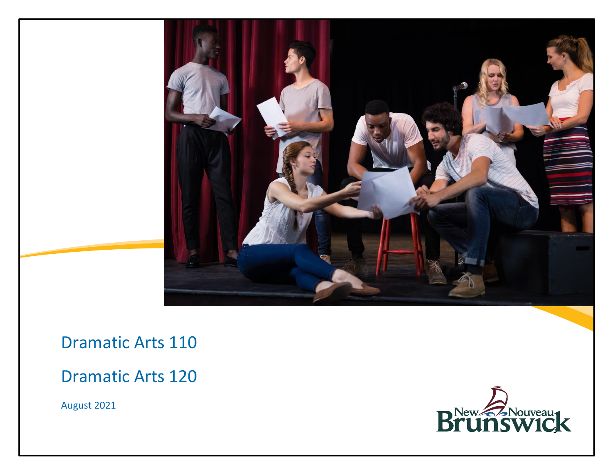

Dramatic Arts 110

# Dramatic Arts 120

August 2021

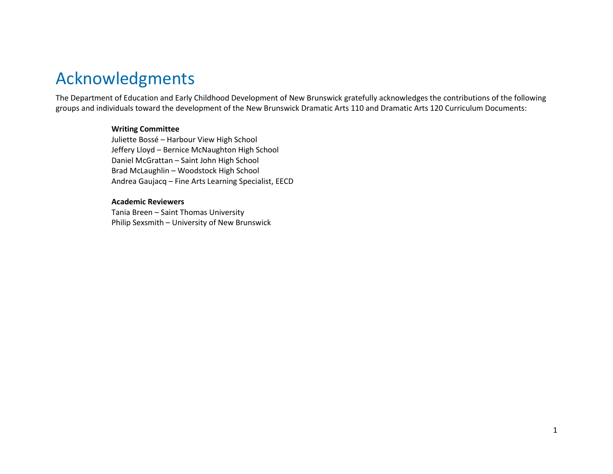# Acknowledgments

The Department of Education and Early Childhood Development of New Brunswick gratefully acknowledges the contributions of the following groups and individuals toward the development of the New Brunswick Dramatic Arts 110 and Dramatic Arts 120 Curriculum Documents:

#### **Writing Committee**

Juliette Bossé – Harbour View High School Jeffery Lloyd – Bernice McNaughton High School Daniel McGrattan – Saint John High School Brad McLaughlin – Woodstock High School Andrea Gaujacq – Fine Arts Learning Specialist, EECD

#### **Academic Reviewers**

Tania Breen – Saint Thomas University Philip Sexsmith – University of New Brunswick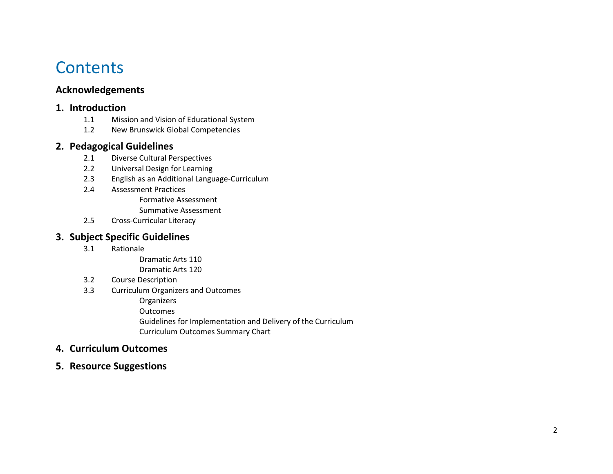# **Contents**

### **Acknowledgements**

#### **1. Introduction**

- 1.1 Mission and Vision of Educational System
- 1.2 New Brunswick Global Competencies

### **2. Pedagogical Guidelines**

- 2.1 Diverse Cultural Perspectives
- 2.2 Universal Design for Learning
- 2.3 English as an Additional Language-Curriculum
- 2.4 Assessment Practices

Formative Assessment

Summative Assessment

2.5 Cross-Curricular Literacy

### **3. Subject Specific Guidelines**

3.1 Rationale

Dramatic Arts 110

Dramatic Arts 120

- 3.2 Course Description
- 3.3 Curriculum Organizers and Outcomes

**Organizers** 

**Outcomes** 

Guidelines for Implementation and Delivery of the Curriculum

Curriculum Outcomes Summary Chart

### **4. Curriculum Outcomes**

**5. Resource Suggestions**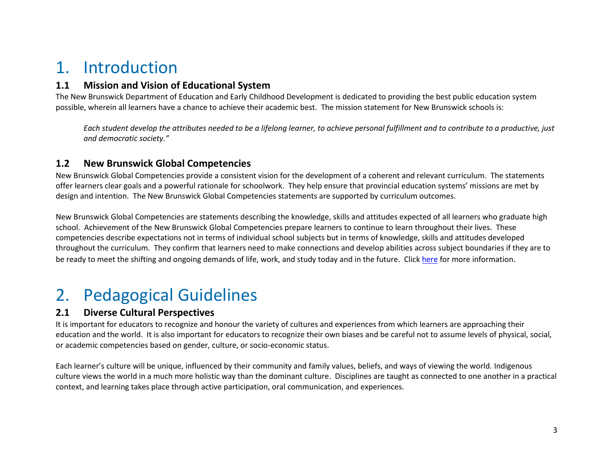# 1. Introduction

### **1.1 Mission and Vision of Educational System**

The New Brunswick Department of Education and Early Childhood Development is dedicated to providing the best public education system possible, wherein all learners have a chance to achieve their academic best. The mission statement for New Brunswick schools is:

*Each student develop the attributes needed to be a lifelong learner, to achieve personal fulfillment and to contribute to a productive, just and democratic society."*

### **1.2 New Brunswick Global Competencies**

New Brunswick Global Competencies provide a consistent vision for the development of a coherent and relevant curriculum. The statements offer learners clear goals and a powerful rationale for schoolwork. They help ensure that provincial education systems' missions are met by design and intention. The New Brunswick Global Competencies statements are supported by curriculum outcomes.

New Brunswick Global Competencies are statements describing the knowledge, skills and attitudes expected of all learners who graduate high school. Achievement of the New Brunswick Global Competencies prepare learners to continue to learn throughout their lives. These competencies describe expectations not in terms of individual school subjects but in terms of knowledge, skills and attitudes developed throughout the curriculum. They confirm that learners need to make connections and develop abilities across subject boundaries if they are to be ready to meet the shifting and ongoing demands of life, work, and study today and in the future. Click [here](https://collabe.nbed.nb.ca/sites/ccic/_layouts/15/start.aspx#/SitePages/Curriculum%20Renewal.aspx) for more information.

# 2. Pedagogical Guidelines

### **2.1 Diverse Cultural Perspectives**

It is important for educators to recognize and honour the variety of cultures and experiences from which learners are approaching their education and the world. It is also important for educators to recognize their own biases and be careful not to assume levels of physical, social, or academic competencies based on gender, culture, or socio-economic status.

Each learner's culture will be unique, influenced by their community and family values, beliefs, and ways of viewing the world. Indigenous culture views the world in a much more holistic way than the dominant culture. Disciplines are taught as connected to one another in a practical context, and learning takes place through active participation, oral communication, and experiences.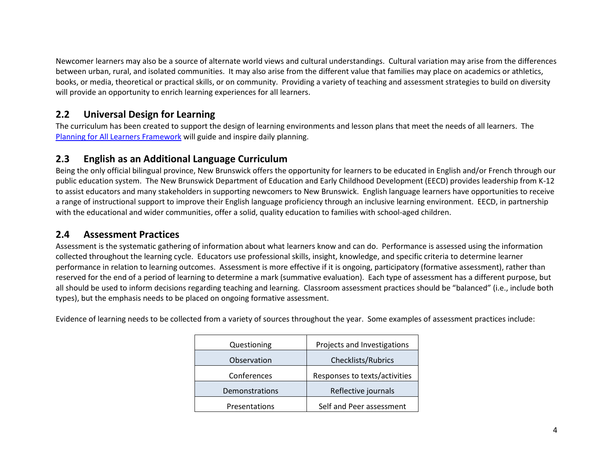Newcomer learners may also be a source of alternate world views and cultural understandings. Cultural variation may arise from the differences between urban, rural, and isolated communities. It may also arise from the different value that families may place on academics or athletics, books, or media, theoretical or practical skills, or on community. Providing a variety of teaching and assessment strategies to build on diversity will provide an opportunity to enrich learning experiences for all learners.

#### **2.2 Universal Design for Learning**

The curriculum has been created to support the design of learning environments and lesson plans that meet the needs of all learners. The [Planning for All Learners Framework](https://www2.gnb.ca/content/dam/gnb/Departments/ed/pdf/QuickTips.pdf) will guide and inspire daily planning.

#### **2.3 English as an Additional Language Curriculum**

Being the only official bilingual province, New Brunswick offers the opportunity for learners to be educated in English and/or French through our public education system. The New Brunswick Department of Education and Early Childhood Development (EECD) provides leadership from K-12 to assist educators and many stakeholders in supporting newcomers to New Brunswick. English language learners have opportunities to receive a range of instructional support to improve their English language proficiency through an inclusive learning environment. EECD, in partnership with the educational and wider communities, offer a solid, quality education to families with school-aged children.

#### **2.4 Assessment Practices**

Assessment is the systematic gathering of information about what learners know and can do. Performance is assessed using the information collected throughout the learning cycle. Educators use professional skills, insight, knowledge, and specific criteria to determine learner performance in relation to learning outcomes. Assessment is more effective if it is ongoing, participatory (formative assessment), rather than reserved for the end of a period of learning to determine a mark (summative evaluation). Each type of assessment has a different purpose, but all should be used to inform decisions regarding teaching and learning. Classroom assessment practices should be "[balanced](https://portal.nbed.nb.ca/tr/AaE/Documents/FINAL%20Balanced%20Assessment%20Doc%20April%208%202014.pdf)" (i.e., include both types), but the emphasis needs to be placed on ongoing formative assessment.

Evidence of learning needs to be collected from a variety of sources throughout the year. Some examples of assessment practices include:

| Questioning    | Projects and Investigations   |
|----------------|-------------------------------|
| Observation    | Checklists/Rubrics            |
| Conferences    | Responses to texts/activities |
| Demonstrations | Reflective journals           |
| Presentations  | Self and Peer assessment      |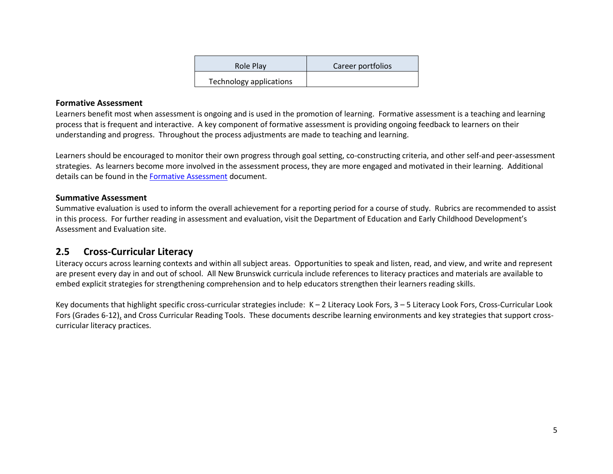| Role Play               | Career portfolios |
|-------------------------|-------------------|
| Technology applications |                   |

#### **Formative Assessment**

Learners benefit most when assessment is ongoing and is used in the promotion of learning. Formative assessment is a teaching and learning process that is frequent and interactive. A key component of formative assessment is providing ongoing feedback to learners on their understanding and progress. Throughout the process adjustments are made to teaching and learning.

Learners should be encouraged to monitor their own progress through goal setting, co-constructing criteria, and other self-and peer-assessment strategies. As learners become more involved in the assessment process, they are more engaged and motivated in their learning. Additional details can be found in the [Formative Assessment](https://collabe.nbed.nb.ca/res/sa/gr/gendocs/Formative%20Assessment%20Quick%20Reference.pdf) document.

#### **Summative Assessment**

Summative evaluation is used to inform the overall achievement for a reporting period for a course of study. Rubrics are recommended to assist in this process. For further reading in assessment and evaluation, visit the Department of Education and Early Childhood Development's Assessment and Evaluation site.

#### **2.5 Cross-Curricular Literacy**

Literacy occurs across learning contexts and within all subject areas. Opportunities to speak and listen, read, and view, and write and represent are present every day in and out of school. All New Brunswick curricula include references to literacy practices and materials are available to embed explicit strategies for strengthening comprehension and to help educators strengthen their learners reading skills.

Key documents that highlight specific cross-curricular strategies include:  $K-2$  Literacy Look Fors, 3 – 5 Literacy Look Fors, Cross-Curricular Look Fors (Grades 6-12), and Cross Curricular Reading Tools. These documents describe learning environments and key strategies that support crosscurricular literacy practices.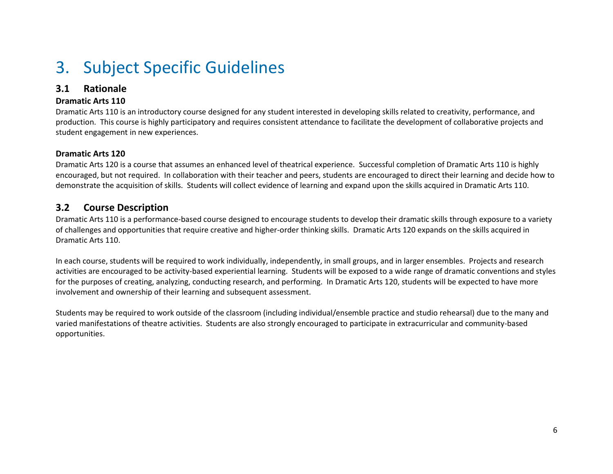# 3. Subject Specific Guidelines

### **3.1 Rationale**

#### **Dramatic Arts 110**

Dramatic Arts 110 is an introductory course designed for any student interested in developing skills related to creativity, performance, and production. This course is highly participatory and requires consistent attendance to facilitate the development of collaborative projects and student engagement in new experiences.

#### **Dramatic Arts 120**

Dramatic Arts 120 is a course that assumes an enhanced level of theatrical experience. Successful completion of Dramatic Arts 110 is highly encouraged, but not required. In collaboration with their teacher and peers, students are encouraged to direct their learning and decide how to demonstrate the acquisition of skills. Students will collect evidence of learning and expand upon the skills acquired in Dramatic Arts 110.

### **3.2 Course Description**

Dramatic Arts 110 is a performance-based course designed to encourage students to develop their dramatic skills through exposure to a variety of challenges and opportunities that require creative and higher-order thinking skills. Dramatic Arts 120 expands on the skills acquired in Dramatic Arts 110.

In each course, students will be required to work individually, independently, in small groups, and in larger ensembles. Projects and research activities are encouraged to be activity-based experiential learning. Students will be exposed to a wide range of dramatic conventions and styles for the purposes of creating, analyzing, conducting research, and performing. In Dramatic Arts 120, students will be expected to have more involvement and ownership of their learning and subsequent assessment.

Students may be required to work outside of the classroom (including individual/ensemble practice and studio rehearsal) due to the many and varied manifestations of theatre activities. Students are also strongly encouraged to participate in extracurricular and community-based opportunities.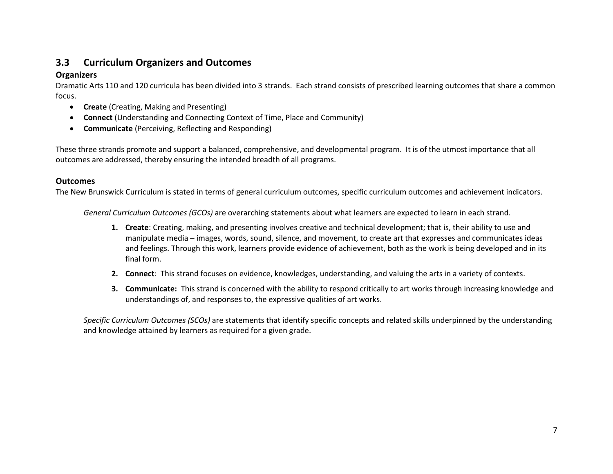### **3.3 Curriculum Organizers and Outcomes**

#### **Organizers**

Dramatic Arts 110 and 120 curricula has been divided into 3 strands. Each strand consists of prescribed learning outcomes that share a common focus.

- **Create** (Creating, Making and Presenting)
- **Connect** (Understanding and Connecting Context of Time, Place and Community)
- **Communicate** (Perceiving, Reflecting and Responding)

These three strands promote and support a balanced, comprehensive, and developmental program. It is of the utmost importance that all outcomes are addressed, thereby ensuring the intended breadth of all programs.

#### **Outcomes**

The New Brunswick Curriculum is stated in terms of general curriculum outcomes, specific curriculum outcomes and achievement indicators.

*General Curriculum Outcomes (GCOs)* are overarching statements about what learners are expected to learn in each strand.

- **1. Create**: Creating, making, and presenting involves creative and technical development; that is, their ability to use and manipulate media – images, words, sound, silence, and movement, to create art that expresses and communicates ideas and feelings. Through this work, learners provide evidence of achievement, both as the work is being developed and in its final form.
- **2. Connect**: This strand focuses on evidence, knowledges, understanding, and valuing the arts in a variety of contexts.
- **3. Communicate:** This strand is concerned with the ability to respond critically to art works through increasing knowledge and understandings of, and responses to, the expressive qualities of art works.

*Specific Curriculum Outcomes (SCOs)* are statements that identify specific concepts and related skills underpinned by the understanding and knowledge attained by learners as required for a given grade.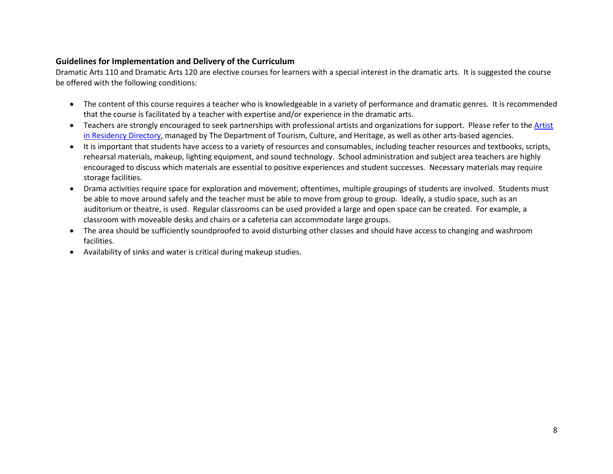#### **Guidelines for Implementation and Delivery of the Curriculum**

Dramatic Arts 110 and Dramatic Arts 120 are elective courses for learners with a special interest in the dramatic arts. It is suggested the course be offered with the following conditions:

- The content of this course requires a teacher who is knowledgeable in a variety of performance and dramatic genres. It is recommended that the course is facilitated by a teacher with expertise and/or experience in the dramatic arts.
- Teachers are strongly encouraged to seek partnerships with professional artists and organizations for support. Please refer to the Artist [in Residency Directory,](http://www2.gnb.ca/content/gnb/en/services/services_renderer.201088.html) managed by The Department of Tourism, Culture, and Heritage, as well as other arts-based agencies.
- It is important that students have access to a variety of resources and consumables, including teacher resources and textbooks, scripts, rehearsal materials, makeup, lighting equipment, and sound technology. School administration and subject area teachers are highly encouraged to discuss which materials are essential to positive experiences and student successes. Necessary materials may require storage facilities.
- Drama activities require space for exploration and movement; oftentimes, multiple groupings of students are involved. Students must be able to move around safely and the teacher must be able to move from group to group. Ideally, a studio space, such as an auditorium or theatre, is used. Regular classrooms can be used provided a large and open space can be created. For example, a classroom with moveable desks and chairs or a cafeteria can accommodate large groups.
- The area should be sufficiently soundproofed to avoid disturbing other classes and should have access to changing and washroom facilities.
- Availability of sinks and water is critical during makeup studies.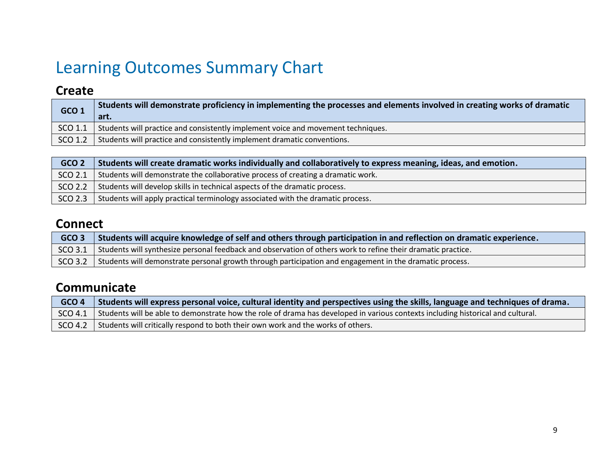# Learning Outcomes Summary Chart

## **Create**

| GCO <sub>1</sub> | Students will demonstrate proficiency in implementing the processes and elements involved in creating works of dramatic<br>art. |
|------------------|---------------------------------------------------------------------------------------------------------------------------------|
| SCO 1.1          | Students will practice and consistently implement voice and movement techniques.                                                |
| SCO 1.2          | Students will practice and consistently implement dramatic conventions.                                                         |

| GCO <sub>2</sub> | Students will create dramatic works individually and collaboratively to express meaning, ideas, and emotion. |
|------------------|--------------------------------------------------------------------------------------------------------------|
| SCO 2.1          | Students will demonstrate the collaborative process of creating a dramatic work.                             |
| SCO 2.2          | Students will develop skills in technical aspects of the dramatic process.                                   |
| SCO 2.3          | Students will apply practical terminology associated with the dramatic process.                              |

## **Connect**

| GCO <sub>3</sub> | Students will acquire knowledge of self and others through participation in and reflection on dramatic experience.   |
|------------------|----------------------------------------------------------------------------------------------------------------------|
|                  | SCO 3.1 Students will synthesize personal feedback and observation of others work to refine their dramatic practice. |
| SCO 3.2          | Students will demonstrate personal growth through participation and engagement in the dramatic process.              |

## **Communicate**

| GCO <sub>4</sub> | Students will express personal voice, cultural identity and perspectives using the skills, language and techniques of drama.    |
|------------------|---------------------------------------------------------------------------------------------------------------------------------|
| SCO 4.1          | Students will be able to demonstrate how the role of drama has developed in various contexts including historical and cultural. |
| SCO 4.2          | Students will critically respond to both their own work and the works of others.                                                |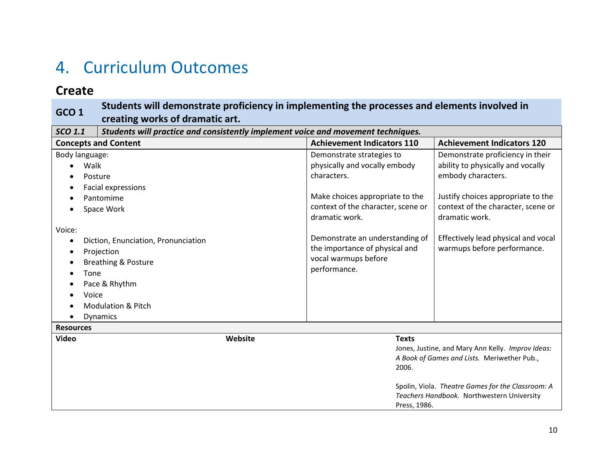# 4. Curriculum Outcomes

## **Create**

### **GCO 1 Students will demonstrate proficiency in implementing the processes and elements involved in creating works of dramatic art.**

| <b>SCO 1.1</b>                                                 | Students will practice and consistently implement voice and movement techniques.                                                                                                                                     |                                                                                                                                                                                                                                                                                   |                                                                                                                                                                                                                                                                 |  |  |
|----------------------------------------------------------------|----------------------------------------------------------------------------------------------------------------------------------------------------------------------------------------------------------------------|-----------------------------------------------------------------------------------------------------------------------------------------------------------------------------------------------------------------------------------------------------------------------------------|-----------------------------------------------------------------------------------------------------------------------------------------------------------------------------------------------------------------------------------------------------------------|--|--|
|                                                                | <b>Concepts and Content</b>                                                                                                                                                                                          | <b>Achievement Indicators 110</b>                                                                                                                                                                                                                                                 | <b>Achievement Indicators 120</b>                                                                                                                                                                                                                               |  |  |
| Body language:<br>Walk<br>$\bullet$<br>Voice:<br>Tone<br>Voice | Posture<br>Facial expressions<br>Pantomime<br>Space Work<br>Diction, Enunciation, Pronunciation<br>Projection<br><b>Breathing &amp; Posture</b><br>Pace & Rhythm<br><b>Modulation &amp; Pitch</b><br><b>Dynamics</b> | Demonstrate strategies to<br>physically and vocally embody<br>characters.<br>Make choices appropriate to the<br>context of the character, scene or<br>dramatic work.<br>Demonstrate an understanding of<br>the importance of physical and<br>vocal warmups before<br>performance. | Demonstrate proficiency in their<br>ability to physically and vocally<br>embody characters.<br>Justify choices appropriate to the<br>context of the character, scene or<br>dramatic work.<br>Effectively lead physical and vocal<br>warmups before performance. |  |  |
| <b>Resources</b>                                               |                                                                                                                                                                                                                      |                                                                                                                                                                                                                                                                                   |                                                                                                                                                                                                                                                                 |  |  |
| <b>Video</b>                                                   | Website                                                                                                                                                                                                              | <b>Texts</b><br>2006.<br>Press, 1986.                                                                                                                                                                                                                                             | Jones, Justine, and Mary Ann Kelly. Improv Ideas:<br>A Book of Games and Lists. Meriwether Pub.,<br>Spolin, Viola. Theatre Games for the Classroom: A<br>Teachers Handbook. Northwestern University                                                             |  |  |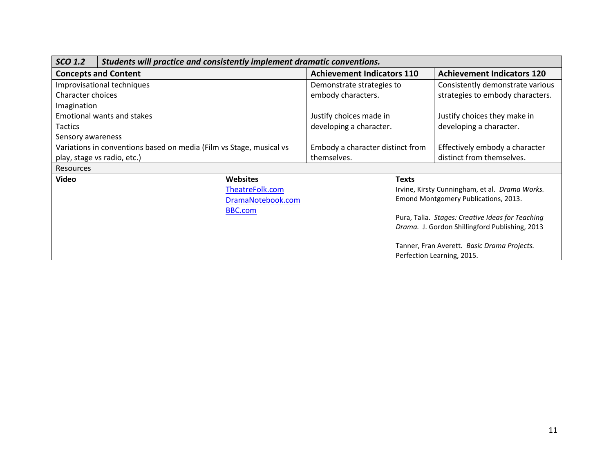| SCO 1.2                     | Students will practice and consistently implement dramatic conventions. |                   |                                      |              |                                                  |  |
|-----------------------------|-------------------------------------------------------------------------|-------------------|--------------------------------------|--------------|--------------------------------------------------|--|
|                             | <b>Concepts and Content</b>                                             |                   | <b>Achievement Indicators 110</b>    |              | <b>Achievement Indicators 120</b>                |  |
| Improvisational techniques  |                                                                         |                   | Demonstrate strategies to            |              | Consistently demonstrate various                 |  |
| Character choices           |                                                                         |                   | embody characters.                   |              | strategies to embody characters.                 |  |
| Imagination                 |                                                                         |                   |                                      |              |                                                  |  |
|                             | <b>Emotional wants and stakes</b>                                       |                   | Justify choices made in              |              | Justify choices they make in                     |  |
| Tactics                     |                                                                         |                   | developing a character.              |              | developing a character.                          |  |
| Sensory awareness           |                                                                         |                   |                                      |              |                                                  |  |
|                             | Variations in conventions based on media (Film vs Stage, musical vs     |                   | Embody a character distinct from     |              | Effectively embody a character                   |  |
| play, stage vs radio, etc.) |                                                                         |                   | themselves.                          |              | distinct from themselves.                        |  |
| Resources                   |                                                                         |                   |                                      |              |                                                  |  |
| Video                       |                                                                         | <b>Websites</b>   |                                      | <b>Texts</b> |                                                  |  |
|                             |                                                                         | TheatreFolk.com   |                                      |              | Irvine, Kirsty Cunningham, et al. Drama Works.   |  |
|                             |                                                                         | DramaNotebook.com | Emond Montgomery Publications, 2013. |              |                                                  |  |
|                             |                                                                         | <b>BBC.com</b>    |                                      |              |                                                  |  |
|                             |                                                                         |                   |                                      |              | Pura, Talia. Stages: Creative Ideas for Teaching |  |
|                             |                                                                         |                   |                                      |              | Drama. J. Gordon Shillingford Publishing, 2013   |  |
|                             |                                                                         |                   |                                      |              | Tanner, Fran Averett. Basic Drama Projects.      |  |
|                             |                                                                         |                   |                                      |              | Perfection Learning, 2015.                       |  |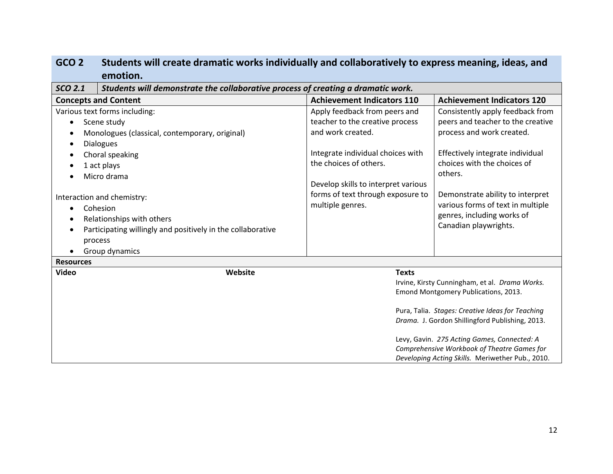|                  | emotion.                                                                         |                                     |                                                                 |
|------------------|----------------------------------------------------------------------------------|-------------------------------------|-----------------------------------------------------------------|
| <b>SCO 2.1</b>   | Students will demonstrate the collaborative process of creating a dramatic work. |                                     |                                                                 |
|                  | <b>Concepts and Content</b>                                                      | <b>Achievement Indicators 110</b>   | <b>Achievement Indicators 120</b>                               |
|                  | Various text forms including:                                                    | Apply feedback from peers and       | Consistently apply feedback from                                |
| $\bullet$        | Scene study                                                                      | teacher to the creative process     | peers and teacher to the creative                               |
|                  | Monologues (classical, contemporary, original)                                   | and work created.                   | process and work created.                                       |
|                  | <b>Dialogues</b>                                                                 |                                     |                                                                 |
| $\bullet$        | Choral speaking                                                                  | Integrate individual choices with   | Effectively integrate individual                                |
|                  | 1 act plays                                                                      | the choices of others.              | choices with the choices of                                     |
|                  | Micro drama                                                                      |                                     | others.                                                         |
|                  |                                                                                  | Develop skills to interpret various |                                                                 |
|                  | Interaction and chemistry:                                                       | forms of text through exposure to   | Demonstrate ability to interpret                                |
| $\bullet$        | Cohesion                                                                         | multiple genres.                    | various forms of text in multiple<br>genres, including works of |
| ٠                | Relationships with others                                                        |                                     | Canadian playwrights.                                           |
|                  | Participating willingly and positively in the collaborative                      |                                     |                                                                 |
|                  | process                                                                          |                                     |                                                                 |
|                  | Group dynamics                                                                   |                                     |                                                                 |
| <b>Resources</b> |                                                                                  |                                     |                                                                 |
| <b>Video</b>     | Website                                                                          | <b>Texts</b>                        |                                                                 |
|                  |                                                                                  |                                     | Irvine, Kirsty Cunningham, et al. Drama Works.                  |
|                  |                                                                                  |                                     | Emond Montgomery Publications, 2013.                            |
|                  |                                                                                  |                                     | Pura, Talia. Stages: Creative Ideas for Teaching                |
|                  |                                                                                  |                                     | Drama. J. Gordon Shillingford Publishing, 2013.                 |
|                  |                                                                                  |                                     | Levy, Gavin. 275 Acting Games, Connected: A                     |
|                  |                                                                                  |                                     | Comprehensive Workbook of Theatre Games for                     |
|                  |                                                                                  |                                     | Developing Acting Skills. Meriwether Pub., 2010.                |

### **GCO 2 Students will create dramatic works individually and collaboratively to express meaning, ideas, and emotion.**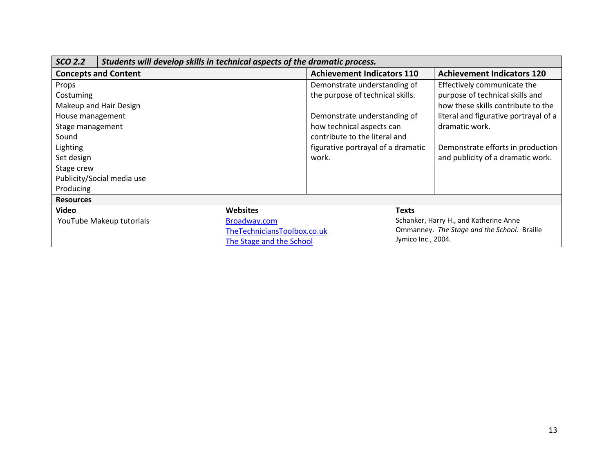| <b>SCO 2.2</b>   | Students will develop skills in technical aspects of the dramatic process. |                             |                                    |                    |                                             |  |
|------------------|----------------------------------------------------------------------------|-----------------------------|------------------------------------|--------------------|---------------------------------------------|--|
|                  | <b>Concepts and Content</b>                                                |                             | <b>Achievement Indicators 110</b>  |                    | <b>Achievement Indicators 120</b>           |  |
| Props            |                                                                            |                             | Demonstrate understanding of       |                    | Effectively communicate the                 |  |
| Costuming        |                                                                            |                             | the purpose of technical skills.   |                    | purpose of technical skills and             |  |
|                  | Makeup and Hair Design                                                     |                             |                                    |                    | how these skills contribute to the          |  |
| House management |                                                                            |                             | Demonstrate understanding of       |                    | literal and figurative portrayal of a       |  |
| Stage management |                                                                            |                             | how technical aspects can          |                    | dramatic work.                              |  |
| Sound            |                                                                            |                             | contribute to the literal and      |                    |                                             |  |
| Lighting         |                                                                            |                             | figurative portrayal of a dramatic |                    | Demonstrate efforts in production           |  |
| Set design       |                                                                            |                             | work.                              |                    | and publicity of a dramatic work.           |  |
| Stage crew       |                                                                            |                             |                                    |                    |                                             |  |
|                  | Publicity/Social media use                                                 |                             |                                    |                    |                                             |  |
| Producing        |                                                                            |                             |                                    |                    |                                             |  |
| <b>Resources</b> |                                                                            |                             |                                    |                    |                                             |  |
| Video            |                                                                            | <b>Websites</b>             |                                    | <b>Texts</b>       |                                             |  |
|                  | YouTube Makeup tutorials                                                   | Broadway.com                |                                    |                    | Schanker, Harry H., and Katherine Anne      |  |
|                  |                                                                            | TheTechniciansToolbox.co.uk |                                    |                    | Ommanney. The Stage and the School. Braille |  |
|                  |                                                                            | The Stage and the School    |                                    | Jymico Inc., 2004. |                                             |  |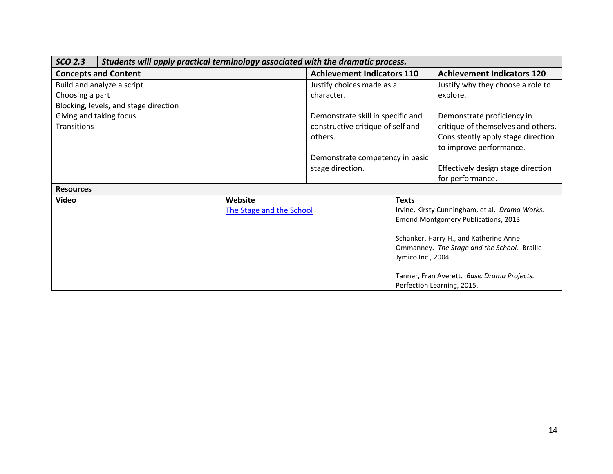| Students will apply practical terminology associated with the dramatic process.<br><b>SCO 2.3</b> |                                       |                          |                                   |                    |                                                                                       |
|---------------------------------------------------------------------------------------------------|---------------------------------------|--------------------------|-----------------------------------|--------------------|---------------------------------------------------------------------------------------|
|                                                                                                   | <b>Concepts and Content</b>           |                          | <b>Achievement Indicators 110</b> |                    | <b>Achievement Indicators 120</b>                                                     |
|                                                                                                   | Build and analyze a script            |                          | Justify choices made as a         |                    | Justify why they choose a role to                                                     |
| Choosing a part                                                                                   |                                       |                          | character.                        |                    | explore.                                                                              |
|                                                                                                   | Blocking, levels, and stage direction |                          |                                   |                    |                                                                                       |
| Giving and taking focus                                                                           |                                       |                          | Demonstrate skill in specific and |                    | Demonstrate proficiency in                                                            |
| <b>Transitions</b>                                                                                |                                       |                          | constructive critique of self and |                    | critique of themselves and others.                                                    |
|                                                                                                   |                                       |                          | others.                           |                    | Consistently apply stage direction                                                    |
|                                                                                                   |                                       |                          |                                   |                    | to improve performance.                                                               |
|                                                                                                   |                                       |                          | Demonstrate competency in basic   |                    |                                                                                       |
|                                                                                                   |                                       |                          | stage direction.                  |                    | Effectively design stage direction                                                    |
|                                                                                                   |                                       |                          |                                   |                    | for performance.                                                                      |
| <b>Resources</b>                                                                                  |                                       |                          |                                   |                    |                                                                                       |
| <b>Video</b>                                                                                      |                                       | Website                  |                                   | <b>Texts</b>       |                                                                                       |
|                                                                                                   |                                       | The Stage and the School |                                   |                    | Irvine, Kirsty Cunningham, et al. Drama Works.                                        |
|                                                                                                   |                                       |                          |                                   |                    | Emond Montgomery Publications, 2013.                                                  |
|                                                                                                   |                                       |                          |                                   |                    |                                                                                       |
|                                                                                                   |                                       |                          |                                   |                    | Schanker, Harry H., and Katherine Anne<br>Ommanney. The Stage and the School. Braille |
|                                                                                                   |                                       |                          |                                   | Jymico Inc., 2004. |                                                                                       |
|                                                                                                   |                                       |                          |                                   |                    |                                                                                       |
|                                                                                                   |                                       |                          |                                   |                    | Tanner, Fran Averett. Basic Drama Projects.                                           |
|                                                                                                   |                                       |                          |                                   |                    | Perfection Learning, 2015.                                                            |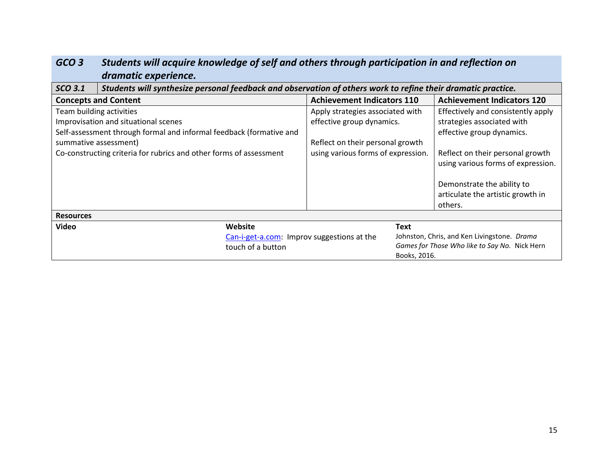| aramatic experience.                                                                                                           |                                                                     |                                    |              |                                               |  |
|--------------------------------------------------------------------------------------------------------------------------------|---------------------------------------------------------------------|------------------------------------|--------------|-----------------------------------------------|--|
| <b>SCO 3.1</b><br>Students will synthesize personal feedback and observation of others work to refine their dramatic practice. |                                                                     |                                    |              |                                               |  |
| <b>Concepts and Content</b>                                                                                                    |                                                                     | <b>Achievement Indicators 110</b>  |              | <b>Achievement Indicators 120</b>             |  |
| Team building activities                                                                                                       |                                                                     | Apply strategies associated with   |              | Effectively and consistently apply            |  |
| Improvisation and situational scenes                                                                                           |                                                                     | effective group dynamics.          |              | strategies associated with                    |  |
|                                                                                                                                | Self-assessment through formal and informal feedback (formative and |                                    |              | effective group dynamics.                     |  |
| summative assessment)                                                                                                          |                                                                     | Reflect on their personal growth   |              |                                               |  |
|                                                                                                                                | Co-constructing criteria for rubrics and other forms of assessment  | using various forms of expression. |              | Reflect on their personal growth              |  |
|                                                                                                                                |                                                                     |                                    |              | using various forms of expression.            |  |
|                                                                                                                                |                                                                     |                                    |              |                                               |  |
|                                                                                                                                |                                                                     |                                    |              | Demonstrate the ability to                    |  |
|                                                                                                                                |                                                                     |                                    |              | articulate the artistic growth in             |  |
|                                                                                                                                |                                                                     |                                    |              | others.                                       |  |
| <b>Resources</b>                                                                                                               |                                                                     |                                    |              |                                               |  |
| <b>Video</b>                                                                                                                   | Website                                                             |                                    | Text         |                                               |  |
|                                                                                                                                | Can-i-get-a.com: Improv suggestions at the                          |                                    |              | Johnston, Chris, and Ken Livingstone. Drama   |  |
|                                                                                                                                | touch of a button                                                   |                                    |              | Games for Those Who like to Say No. Nick Hern |  |
|                                                                                                                                |                                                                     |                                    | Books, 2016. |                                               |  |

### *GCO 3 Students will acquire knowledge of self and others through participation in and reflection on dramatic experience.*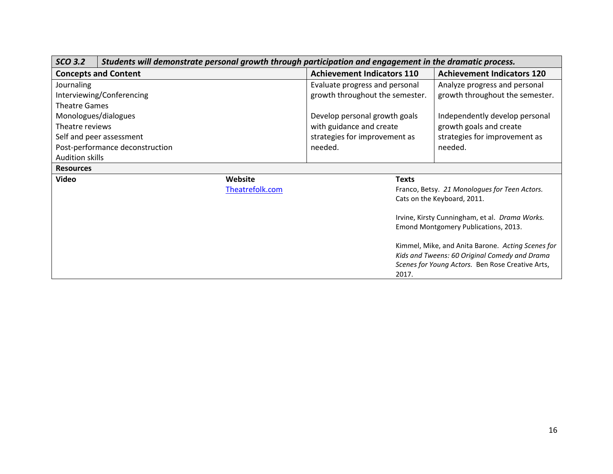| <b>SCO 3.2</b>                  | Students will demonstrate personal growth through participation and engagement in the dramatic process. |                                                  |                                                   |                                               |  |
|---------------------------------|---------------------------------------------------------------------------------------------------------|--------------------------------------------------|---------------------------------------------------|-----------------------------------------------|--|
| <b>Concepts and Content</b>     |                                                                                                         |                                                  | <b>Achievement Indicators 110</b>                 | <b>Achievement Indicators 120</b>             |  |
| Journaling                      |                                                                                                         |                                                  | Evaluate progress and personal                    | Analyze progress and personal                 |  |
| Interviewing/Conferencing       |                                                                                                         |                                                  | growth throughout the semester.                   | growth throughout the semester.               |  |
| <b>Theatre Games</b>            |                                                                                                         |                                                  |                                                   |                                               |  |
| Monologues/dialogues            |                                                                                                         |                                                  | Develop personal growth goals                     | Independently develop personal                |  |
| Theatre reviews                 |                                                                                                         |                                                  | with guidance and create                          | growth goals and create                       |  |
| Self and peer assessment        |                                                                                                         | strategies for improvement as                    | strategies for improvement as                     |                                               |  |
| Post-performance deconstruction |                                                                                                         | needed.                                          | needed.                                           |                                               |  |
| <b>Audition skills</b>          |                                                                                                         |                                                  |                                                   |                                               |  |
| <b>Resources</b>                |                                                                                                         |                                                  |                                                   |                                               |  |
| <b>Video</b>                    |                                                                                                         | Website                                          | <b>Texts</b>                                      |                                               |  |
|                                 |                                                                                                         | Theatrefolk.com                                  |                                                   | Franco, Betsy. 21 Monologues for Teen Actors. |  |
|                                 |                                                                                                         | Cats on the Keyboard, 2011.                      |                                                   |                                               |  |
|                                 |                                                                                                         | Irvine, Kirsty Cunningham, et al. Drama Works.   |                                                   |                                               |  |
|                                 |                                                                                                         | Emond Montgomery Publications, 2013.             |                                                   |                                               |  |
|                                 |                                                                                                         |                                                  | Kimmel, Mike, and Anita Barone. Acting Scenes for |                                               |  |
|                                 |                                                                                                         |                                                  | Kids and Tweens: 60 Original Comedy and Drama     |                                               |  |
|                                 |                                                                                                         | Scenes for Young Actors. Ben Rose Creative Arts, |                                                   |                                               |  |
|                                 |                                                                                                         |                                                  | 2017.                                             |                                               |  |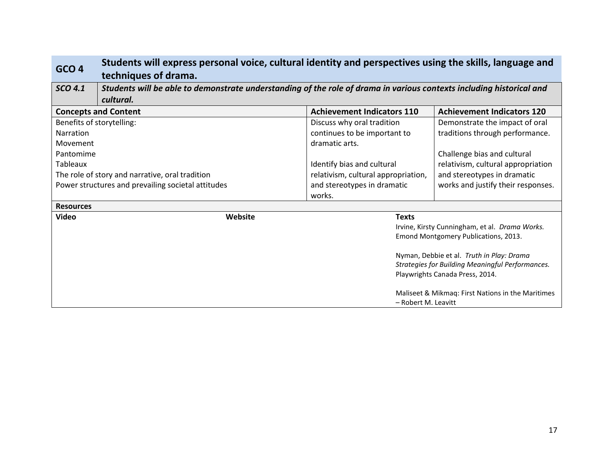| GCO <sub>4</sub>                                   | Students will express personal voice, cultural identity and perspectives using the skills, language and              |         |                                                  |                                                   |  |  |  |
|----------------------------------------------------|----------------------------------------------------------------------------------------------------------------------|---------|--------------------------------------------------|---------------------------------------------------|--|--|--|
|                                                    | techniques of drama.                                                                                                 |         |                                                  |                                                   |  |  |  |
| SCO 4.1                                            | Students will be able to demonstrate understanding of the role of drama in various contexts including historical and |         |                                                  |                                                   |  |  |  |
|                                                    | cultural.                                                                                                            |         |                                                  |                                                   |  |  |  |
| <b>Concepts and Content</b>                        |                                                                                                                      |         | <b>Achievement Indicators 110</b>                | <b>Achievement Indicators 120</b>                 |  |  |  |
| Benefits of storytelling:                          |                                                                                                                      |         | Discuss why oral tradition                       | Demonstrate the impact of oral                    |  |  |  |
| Narration                                          |                                                                                                                      |         | continues to be important to                     | traditions through performance.                   |  |  |  |
| Movement                                           |                                                                                                                      |         | dramatic arts.                                   |                                                   |  |  |  |
| Pantomime                                          |                                                                                                                      |         |                                                  | Challenge bias and cultural                       |  |  |  |
| Tableaux                                           |                                                                                                                      |         | Identify bias and cultural                       | relativism, cultural appropriation                |  |  |  |
| The role of story and narrative, oral tradition    |                                                                                                                      |         | relativism, cultural appropriation,              | and stereotypes in dramatic                       |  |  |  |
| Power structures and prevailing societal attitudes |                                                                                                                      |         | and stereotypes in dramatic                      | works and justify their responses.                |  |  |  |
|                                                    |                                                                                                                      |         | works.                                           |                                                   |  |  |  |
| <b>Resources</b>                                   |                                                                                                                      |         |                                                  |                                                   |  |  |  |
| <b>Video</b>                                       |                                                                                                                      | Website | <b>Texts</b>                                     |                                                   |  |  |  |
|                                                    |                                                                                                                      |         | Irvine, Kirsty Cunningham, et al. Drama Works.   |                                                   |  |  |  |
|                                                    |                                                                                                                      |         | Emond Montgomery Publications, 2013.             |                                                   |  |  |  |
|                                                    |                                                                                                                      |         | Nyman, Debbie et al. Truth in Play: Drama        |                                                   |  |  |  |
|                                                    |                                                                                                                      |         | Strategies for Building Meaningful Performances. |                                                   |  |  |  |
|                                                    |                                                                                                                      |         | Playwrights Canada Press, 2014.                  |                                                   |  |  |  |
|                                                    |                                                                                                                      |         |                                                  | Maliseet & Mikmaq: First Nations in the Maritimes |  |  |  |
|                                                    |                                                                                                                      |         | - Robert M. Leavitt                              |                                                   |  |  |  |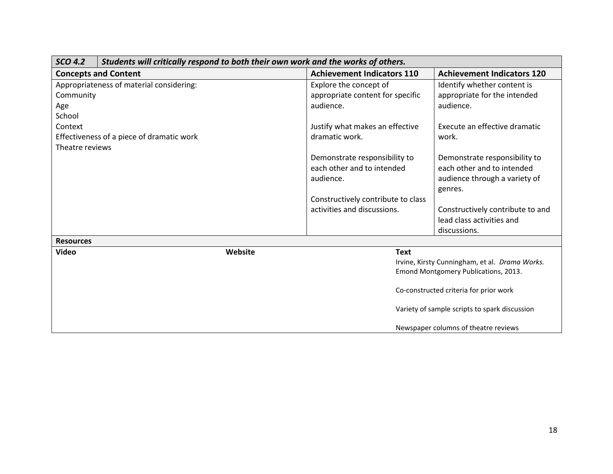| <b>SCO 4.2</b>                            | Students will critically respond to both their own work and the works of others. |                                                                   |                                                |  |  |
|-------------------------------------------|----------------------------------------------------------------------------------|-------------------------------------------------------------------|------------------------------------------------|--|--|
| <b>Concepts and Content</b>               |                                                                                  | <b>Achievement Indicators 110</b>                                 | <b>Achievement Indicators 120</b>              |  |  |
| Appropriateness of material considering:  |                                                                                  | Explore the concept of                                            | Identify whether content is                    |  |  |
| Community                                 |                                                                                  | appropriate content for specific                                  | appropriate for the intended                   |  |  |
| Age                                       |                                                                                  | audience.                                                         | audience.                                      |  |  |
| School                                    |                                                                                  |                                                                   |                                                |  |  |
| Context                                   |                                                                                  | Justify what makes an effective                                   | Execute an effective dramatic                  |  |  |
| Effectiveness of a piece of dramatic work |                                                                                  | dramatic work.                                                    | work.                                          |  |  |
| Theatre reviews                           |                                                                                  |                                                                   |                                                |  |  |
|                                           |                                                                                  | Demonstrate responsibility to                                     | Demonstrate responsibility to                  |  |  |
|                                           |                                                                                  | each other and to intended                                        | each other and to intended                     |  |  |
|                                           |                                                                                  | audience.                                                         | audience through a variety of                  |  |  |
|                                           |                                                                                  |                                                                   | genres.                                        |  |  |
|                                           |                                                                                  | Constructively contribute to class<br>activities and discussions. | Constructively contribute to and               |  |  |
|                                           |                                                                                  |                                                                   | lead class activities and                      |  |  |
|                                           |                                                                                  |                                                                   | discussions.                                   |  |  |
| <b>Resources</b>                          |                                                                                  |                                                                   |                                                |  |  |
| <b>Video</b>                              | Website                                                                          | <b>Text</b>                                                       |                                                |  |  |
|                                           |                                                                                  |                                                                   | Irvine, Kirsty Cunningham, et al. Drama Works. |  |  |
|                                           |                                                                                  |                                                                   | Emond Montgomery Publications, 2013.           |  |  |
|                                           |                                                                                  |                                                                   |                                                |  |  |
|                                           |                                                                                  |                                                                   | Co-constructed criteria for prior work         |  |  |
|                                           |                                                                                  |                                                                   | Variety of sample scripts to spark discussion  |  |  |
|                                           |                                                                                  |                                                                   |                                                |  |  |
|                                           |                                                                                  |                                                                   | Newspaper columns of theatre reviews           |  |  |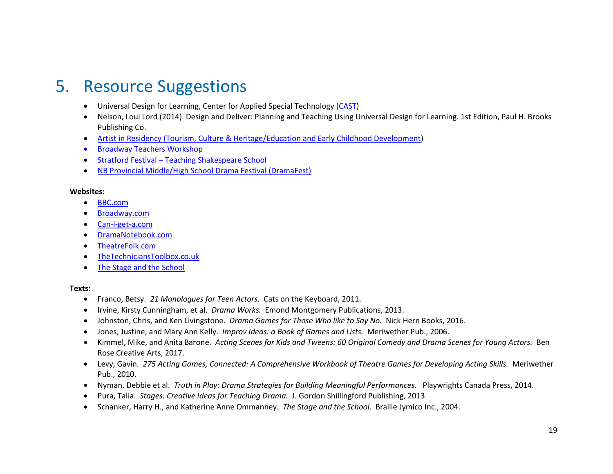# 5. Resource Suggestions

- Universal Design for Learning, Center for Applied Special Technology [\(CAST\)](http://www.cast.org/)
- Nelson, Loui Lord (2014). Design and Deliver: Planning and Teaching Using Universal Design for Learning. 1st Edition, Paul H. Brooks Publishing Co.
- Artist in Residency (Tourism, [Culture & Heritage/Education and Early Childhood Development\)](https://www2.gnb.ca/content/gnb/en/services/services_renderer.201088.Arts_-_Professional_Artists_-_Artist-in-Residency_School_Program_Grant_(Anglophone_Sector).html)
- [Broadway Teachers Workshop](https://www.broadwayteachinggroup.com/)
- Stratford Festival [Teaching Shakespeare School](https://www.stratfordfestival.ca/Learn/Teachers/Training/TeachingTheatre)
- [NB Provincial Middle/High School Drama Festival \(DramaFest\)](https://www.nbdramafest.com/)

#### **Websites:**

- [BBC.com](https://www.bbc.com/education/subjects/zbckjxs)
- [Broadway.com](https://www.broadway.com/)
- [Can-i-get-a.com](http://www.can-i-get-a.com/)
- [DramaNotebook.com](https://www.dramanotebook.com/)
- [TheatreFolk.com](https://www.theatrefolk.com/)
- [TheTechniciansToolbox.co.uk](http://thetechnicianstoolbox.co.uk/)
- [The Stage and the School](http://glencoe.mheducation.com/sites/0078616271/)

#### **Texts:**

- Franco, Betsy. *21 Monologues for Teen Actors.* Cats on the Keyboard, 2011.
- Irvine, Kirsty Cunningham, et al. *Drama Works.* Emond Montgomery Publications, 2013.
- Johnston, Chris, and Ken Livingstone. *Drama Games for Those Who like to Say No.* Nick Hern Books, 2016.
- Jones, Justine, and Mary Ann Kelly. *Improv Ideas: a Book of Games and Lists.* Meriwether Pub., 2006.
- Kimmel, Mike, and Anita Barone. *Acting Scenes for Kids and Tweens: 60 Original Comedy and Drama Scenes for Young Actors.* Ben Rose Creative Arts, 2017.
- Levy, Gavin. *275 Acting Games, Connected: A Comprehensive Workbook of Theatre Games for Developing Acting Skills.* Meriwether Pub., 2010.
- Nyman, Debbie et al. *Truth in Play: Drama Strategies for Building Meaningful Performances.* Playwrights Canada Press, 2014.
- Pura, Talia. *Stages: Creative Ideas for Teaching Drama.* J. Gordon Shillingford Publishing, 2013
- Schanker, Harry H., and Katherine Anne Ommanney. *The Stage and the School.* Braille Jymico Inc., 2004.